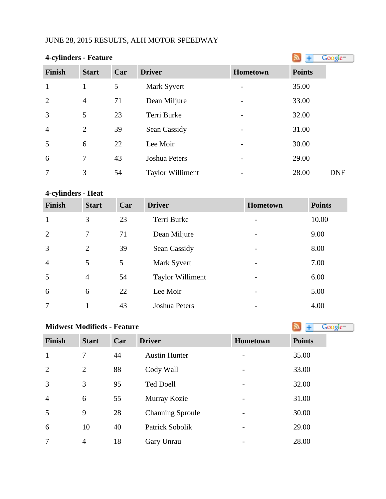# JUNE 28, 2015 RESULTS, ALH MOTOR SPEEDWAY

| 4-cylinders - Feature | Google <sup>®</sup> |     |                         |          |                     |
|-----------------------|---------------------|-----|-------------------------|----------|---------------------|
| <b>Finish</b>         | <b>Start</b>        | Car | <b>Driver</b>           | Hometown | <b>Points</b>       |
| $\mathbf{1}$          | 1                   | 5   | Mark Syvert             |          | 35.00               |
| $\overline{2}$        | $\overline{4}$      | 71  | Dean Miljure            |          | 33.00               |
| $\overline{3}$        | 5                   | 23  | Terri Burke             |          | 32.00               |
| $\overline{4}$        | $\overline{2}$      | 39  | Sean Cassidy            |          | 31.00               |
| 5                     | 6                   | 22  | Lee Moir                |          | 30.00               |
| 6                     | 7                   | 43  | <b>Joshua Peters</b>    |          | 29.00               |
| $\overline{7}$        | 3                   | 54  | <b>Taylor Williment</b> |          | 28.00<br><b>DNF</b> |

# **4-cylinders - Heat**

| <b>Finish</b>  | <b>Start</b>   | Car | <b>Driver</b>           | Hometown                 | <b>Points</b> |
|----------------|----------------|-----|-------------------------|--------------------------|---------------|
| 1              | 3              | 23  | Terri Burke             |                          | 10.00         |
| 2              | 7              | 71  | Dean Miljure            | $\overline{\phantom{a}}$ | 9.00          |
| $\overline{3}$ | $\overline{2}$ | 39  | Sean Cassidy            | $\overline{\phantom{a}}$ | 8.00          |
| $\overline{4}$ | 5              | 5   | Mark Syvert             | -                        | 7.00          |
| 5              | $\overline{4}$ | 54  | <b>Taylor Williment</b> | -                        | 6.00          |
| 6              | 6              | 22  | Lee Moir                |                          | 5.00          |
| 7              | 1              | 43  | Joshua Peters           | $\overline{\phantom{a}}$ | 4.00          |

| <b>Midwest Modifieds - Feature</b> | Google <sup>®</sup> |     |                         |          |               |
|------------------------------------|---------------------|-----|-------------------------|----------|---------------|
| <b>Finish</b>                      | <b>Start</b>        | Car | <b>Driver</b>           | Hometown | <b>Points</b> |
| $\mathbf{1}$                       | 7                   | 44  | <b>Austin Hunter</b>    |          | 35.00         |
| $\overline{2}$                     | $\overline{2}$      | 88  | Cody Wall               |          | 33.00         |
| 3                                  | 3                   | 95  | <b>Ted Doell</b>        |          | 32.00         |
| $\overline{4}$                     | 6                   | 55  | Murray Kozie            |          | 31.00         |
| 5                                  | 9                   | 28  | <b>Channing Sproule</b> |          | 30.00         |
| 6                                  | 10                  | 40  | Patrick Sobolik         |          | 29.00         |
| $\overline{7}$                     | $\overline{4}$      | 18  | Gary Unrau              |          | 28.00         |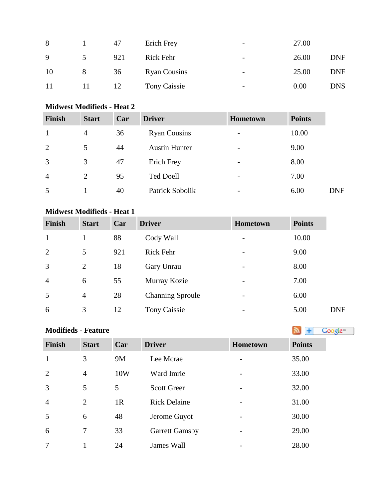| 8  |               | 47  | Erich Frey          | $\overline{\phantom{0}}$ | 27.00 |            |
|----|---------------|-----|---------------------|--------------------------|-------|------------|
| 9  | $\mathcal{D}$ | 921 | Rick Fehr           | $\overline{\phantom{a}}$ | 26.00 | <b>DNF</b> |
| 10 | 8             | 36  | <b>Ryan Cousins</b> | $\overline{\phantom{a}}$ | 25.00 | <b>DNF</b> |
| 11 | 11            | 12  | Tony Caissie        | $\overline{\phantom{a}}$ | 0.00  | <b>DNS</b> |

#### **Midwest Modifieds - Heat 2**

| <b>Finish</b>  | <b>Start</b>   | Car | <b>Driver</b>        | Hometown                 | <b>Points</b> |            |
|----------------|----------------|-----|----------------------|--------------------------|---------------|------------|
|                | 4              | 36  | <b>Ryan Cousins</b>  | $\overline{\phantom{a}}$ | 10.00         |            |
| 2              | 5              | 44  | <b>Austin Hunter</b> | $\overline{\phantom{a}}$ | 9.00          |            |
| 3              | 3              | 47  | Erich Frey           | $\overline{\phantom{m}}$ | 8.00          |            |
| $\overline{4}$ | $\overline{2}$ | 95  | <b>Ted Doell</b>     | $\overline{\phantom{0}}$ | 7.00          |            |
| 5              |                | 40  | Patrick Sobolik      | $\overline{\phantom{0}}$ | 6.00          | <b>DNF</b> |

#### **Midwest Modifieds - Heat 1**

| <b>Finish</b>  | <b>Start</b>   | Car | <b>Driver</b>           | <b>Hometown</b>          | <b>Points</b> |            |
|----------------|----------------|-----|-------------------------|--------------------------|---------------|------------|
|                |                | 88  | Cody Wall               | $\overline{\phantom{a}}$ | 10.00         |            |
| $\overline{2}$ | 5              | 921 | Rick Fehr               | $\overline{\phantom{a}}$ | 9.00          |            |
| 3              | 2              | 18  | Gary Unrau              | $\overline{\phantom{a}}$ | 8.00          |            |
| $\overline{4}$ | 6              | 55  | Murray Kozie            | $\overline{\phantom{a}}$ | 7.00          |            |
| 5              | $\overline{4}$ | 28  | <b>Channing Sproule</b> | $\overline{\phantom{a}}$ | 6.00          |            |
| 6              | 3              | 12  | <b>Tony Caissie</b>     | -                        | 5.00          | <b>DNF</b> |

| <b>Modifieds - Feature</b> | ā, |  |
|----------------------------|----|--|
|                            |    |  |

| <b>Finish</b>  | <b>Start</b>   | Car            | <b>Driver</b>         | Hometown        | <b>Points</b> |
|----------------|----------------|----------------|-----------------------|-----------------|---------------|
| $\mathbf{1}$   | 3              | 9M             | Lee Mcrae             | $\qquad \qquad$ | 35.00         |
| 2              | $\overline{4}$ | 10W            | Ward Imrie            |                 | 33.00         |
| 3              | 5              | 5              | <b>Scott Greer</b>    |                 | 32.00         |
| $\overline{4}$ | 2              | 1 <sub>R</sub> | <b>Rick Delaine</b>   | $\qquad \qquad$ | 31.00         |
| 5              | 6              | 48             | Jerome Guyot          |                 | 30.00         |
| 6              | 7              | 33             | <b>Garrett Gamsby</b> | $\qquad \qquad$ | 29.00         |
| 7              |                | 24             | James Wall            |                 | 28.00         |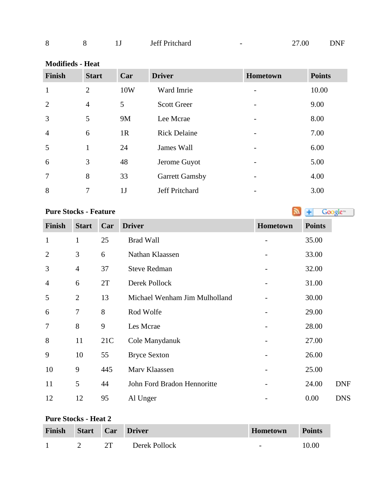| O<br>Ō |  |  | Jeff Pritchard | - | .00 | DNF |
|--------|--|--|----------------|---|-----|-----|
|--------|--|--|----------------|---|-----|-----|

| <b>Modifieds - Heat</b> |  |
|-------------------------|--|
|-------------------------|--|

| <b>Finish</b>  | <b>Start</b>   | Car            | <b>Driver</b>         | Hometown                 | <b>Points</b> |
|----------------|----------------|----------------|-----------------------|--------------------------|---------------|
| $\mathbf{1}$   | $\overline{2}$ | 10W            | Ward Imrie            |                          | 10.00         |
| $\overline{2}$ | $\overline{4}$ | 5              | <b>Scott Greer</b>    | $\overline{\phantom{a}}$ | 9.00          |
| 3              | 5              | <b>9M</b>      | Lee Mcrae             |                          | 8.00          |
| $\overline{4}$ | 6              | 1 <sub>R</sub> | <b>Rick Delaine</b>   |                          | 7.00          |
| 5              | $\mathbf{1}$   | 24             | James Wall            |                          | 6.00          |
| 6              | 3              | 48             | Jerome Guyot          |                          | 5.00          |
| 7              | 8              | 33             | <b>Garrett Gamsby</b> |                          | 4.00          |
| 8              | 7              | 1J             | Jeff Pritchard        |                          | 3.00          |

Google<sup>®</sup>

#### **PureStocks - Feature**

**Finish Start Car Driver Hometown Points** 1 1 25 Brad Wall - 35.00 2 3 6 Nathan Klaassen - 33.00 3 4 37 Steve Redman - 32.00 4 6 2T Derek Pollock - 31.00 5 2 13 Michael Wenham Jim Mulholland - 30.00 6 7 8 Rod Wolfe - 29.00 7 8 9 Les Mcrae - 28.00 8 11 21C Cole Manydanuk - 27.00 9 10 55 Bryce Sexton - 26.00 10 9 445 Marv Klaassen - 25.00 11 5 44 John Ford Bradon Hennoritte - 24.00 DNF 12 12 95 Al Unger - 0.00 DNS

#### **Pure Stocks - Heat 2**

| Finish | <b>Start</b> | Car <sup>1</sup> | <b>Driver</b> | <b>Hometown</b>          | <b>Points</b> |
|--------|--------------|------------------|---------------|--------------------------|---------------|
|        |              | $2^{\circ}$      | Derek Pollock | $\overline{\phantom{0}}$ | 10.00         |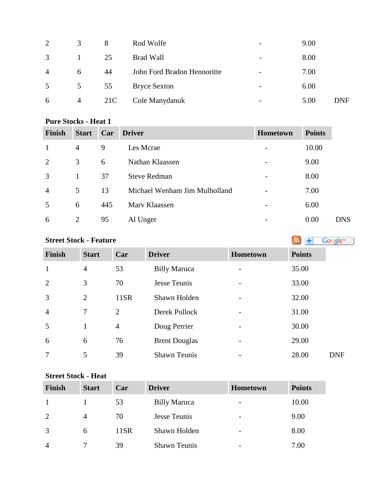| $\overline{2}$ | 3              | 8   | Rod Wolfe                   | $\overline{\phantom{a}}$ | 9.00 |     |
|----------------|----------------|-----|-----------------------------|--------------------------|------|-----|
| 3              | 1              | 25  | <b>Brad Wall</b>            | $\overline{\phantom{0}}$ | 8.00 |     |
| $\overline{4}$ | 6              | 44  | John Ford Bradon Hennoritte | $\overline{\phantom{a}}$ | 7.00 |     |
| 5              | 5              | 55  | <b>Bryce Sexton</b>         | $\overline{\phantom{0}}$ | 6.00 |     |
| 6              | $\overline{4}$ | 21C | Cole Manydanuk              | $\overline{\phantom{a}}$ | 5.00 | DNF |

#### **Pure Stocks - Heat 1**

| <b>Finish</b>  | <b>Start</b> | Car | <b>Driver</b>                 | <b>Hometown</b> | <b>Points</b> |            |
|----------------|--------------|-----|-------------------------------|-----------------|---------------|------------|
|                | 4            | 9   | Les Mcrae                     |                 | 10.00         |            |
| 2              | 3            | 6   | Nathan Klaassen               |                 | 9.00          |            |
| 3              | 1            | 37  | <b>Steve Redman</b>           |                 | 8.00          |            |
| $\overline{4}$ | 5            | 13  | Michael Wenham Jim Mulholland |                 | 7.00          |            |
| 5              | 6            | 445 | Mary Klaassen                 |                 | 6.00          |            |
| 6              | 2            | 95  | Al Unger                      |                 | 0.00          | <b>DNS</b> |

# **StreetStock - Feature Street Stock - Feature**

| <b>Finish</b>  | <b>Start</b> | Car            | <b>Driver</b>        | Hometown | <b>Points</b> |
|----------------|--------------|----------------|----------------------|----------|---------------|
| $\mathbf{1}$   | 4            | 53             | <b>Billy Maruca</b>  |          | 35.00         |
| $\overline{2}$ | 3            | 70             | Jesse Teunis         |          | 33.00         |
| 3              | 2            | 11SR           | Shawn Holden         |          | 32.00         |
| $\overline{4}$ | $\tau$       | 2              | Derek Pollock        |          | 31.00         |
| 5              | 1            | $\overline{4}$ | Doug Perrier         | -        | 30.00         |
| 6              | 6            | 76             | <b>Brent Douglas</b> |          | 29.00         |
| 7              | 5            | 39             | <b>Shawn Teunis</b>  |          | 28.00         |

### **Street Stock - Heat**

| <b>Finish</b>  | <b>Start</b>   | Car  | <b>Driver</b>       | <b>Hometown</b> | <b>Points</b> |
|----------------|----------------|------|---------------------|-----------------|---------------|
|                |                | 53   | <b>Billy Maruca</b> |                 | 10.00         |
| 2              | $\overline{A}$ | 70   | Jesse Teunis        |                 | 9.00          |
| 3              | 6              | 11SR | Shawn Holden        | -               | 8.00          |
| $\overline{A}$ |                | 39   | <b>Shawn Teunis</b> |                 | 7.00          |